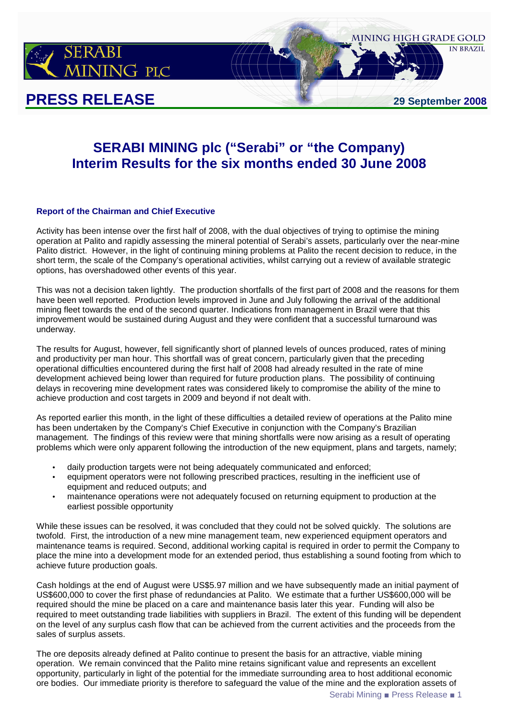

# **SERABI MINING plc ("Serabi" or "the Company) Interim Results for the six months ended 30 June 2008**

#### **Report of the Chairman and Chief Executive**

Activity has been intense over the first half of 2008, with the dual objectives of trying to optimise the mining operation at Palito and rapidly assessing the mineral potential of Serabi's assets, particularly over the near-mine Palito district. However, in the light of continuing mining problems at Palito the recent decision to reduce, in the short term, the scale of the Company's operational activities, whilst carrying out a review of available strategic options, has overshadowed other events of this year.

This was not a decision taken lightly. The production shortfalls of the first part of 2008 and the reasons for them have been well reported. Production levels improved in June and July following the arrival of the additional mining fleet towards the end of the second quarter. Indications from management in Brazil were that this improvement would be sustained during August and they were confident that a successful turnaround was underway.

The results for August, however, fell significantly short of planned levels of ounces produced, rates of mining and productivity per man hour. This shortfall was of great concern, particularly given that the preceding operational difficulties encountered during the first half of 2008 had already resulted in the rate of mine development achieved being lower than required for future production plans. The possibility of continuing delays in recovering mine development rates was considered likely to compromise the ability of the mine to achieve production and cost targets in 2009 and beyond if not dealt with.

As reported earlier this month, in the light of these difficulties a detailed review of operations at the Palito mine has been undertaken by the Company's Chief Executive in conjunction with the Company's Brazilian management. The findings of this review were that mining shortfalls were now arising as a result of operating problems which were only apparent following the introduction of the new equipment, plans and targets, namely;

- daily production targets were not being adequately communicated and enforced;
- equipment operators were not following prescribed practices, resulting in the inefficient use of equipment and reduced outputs; and
- maintenance operations were not adequately focused on returning equipment to production at the earliest possible opportunity

While these issues can be resolved, it was concluded that they could not be solved quickly. The solutions are twofold. First, the introduction of a new mine management team, new experienced equipment operators and maintenance teams is required. Second, additional working capital is required in order to permit the Company to place the mine into a development mode for an extended period, thus establishing a sound footing from which to achieve future production goals.

Cash holdings at the end of August were US\$5.97 million and we have subsequently made an initial payment of US\$600,000 to cover the first phase of redundancies at Palito. We estimate that a further US\$600,000 will be required should the mine be placed on a care and maintenance basis later this year. Funding will also be required to meet outstanding trade liabilities with suppliers in Brazil. The extent of this funding will be dependent on the level of any surplus cash flow that can be achieved from the current activities and the proceeds from the sales of surplus assets.

The ore deposits already defined at Palito continue to present the basis for an attractive, viable mining operation. We remain convinced that the Palito mine retains significant value and represents an excellent opportunity, particularly in light of the potential for the immediate surrounding area to host additional economic ore bodies. Our immediate priority is therefore to safeguard the value of the mine and the exploration assets of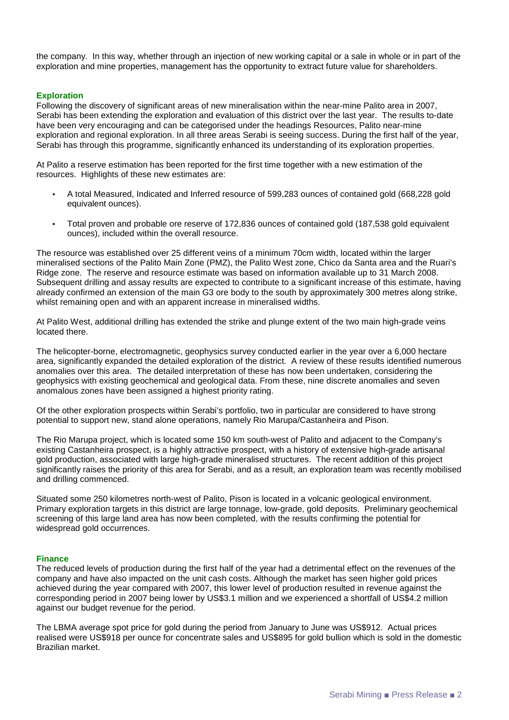the company. In this way, whether through an injection of new working capital or a sale in whole or in part of the exploration and mine properties, management has the opportunity to extract future value for shareholders.

#### **Exploration**

Following the discovery of significant areas of new mineralisation within the near-mine Palito area in 2007, Serabi has been extending the exploration and evaluation of this district over the last year. The results to-date have been very encouraging and can be categorised under the headings Resources, Palito near-mine exploration and regional exploration. In all three areas Serabi is seeing success. During the first half of the year, Serabi has through this programme, significantly enhanced its understanding of its exploration properties.

At Palito a reserve estimation has been reported for the first time together with a new estimation of the resources. Highlights of these new estimates are:

- A total Measured, Indicated and Inferred resource of 599,283 ounces of contained gold (668,228 gold equivalent ounces).
- Total proven and probable ore reserve of 172,836 ounces of contained gold (187,538 gold equivalent ounces), included within the overall resource.

The resource was established over 25 different veins of a minimum 70cm width, located within the larger mineralised sections of the Palito Main Zone (PMZ), the Palito West zone, Chico da Santa area and the Ruari's Ridge zone. The reserve and resource estimate was based on information available up to 31 March 2008. Subsequent drilling and assay results are expected to contribute to a significant increase of this estimate, having already confirmed an extension of the main G3 ore body to the south by approximately 300 metres along strike, whilst remaining open and with an apparent increase in mineralised widths.

At Palito West, additional drilling has extended the strike and plunge extent of the two main high-grade veins located there.

The helicopter-borne, electromagnetic, geophysics survey conducted earlier in the year over a 6,000 hectare area, significantly expanded the detailed exploration of the district. A review of these results identified numerous anomalies over this area. The detailed interpretation of these has now been undertaken, considering the geophysics with existing geochemical and geological data. From these, nine discrete anomalies and seven anomalous zones have been assigned a highest priority rating.

Of the other exploration prospects within Serabi's portfolio, two in particular are considered to have strong potential to support new, stand alone operations, namely Rio Marupa/Castanheira and Pison.

The Rio Marupa project, which is located some 150 km south-west of Palito and adjacent to the Company's existing Castanheira prospect, is a highly attractive prospect, with a history of extensive high-grade artisanal gold production, associated with large high-grade mineralised structures. The recent addition of this project significantly raises the priority of this area for Serabi, and as a result, an exploration team was recently mobilised and drilling commenced.

Situated some 250 kilometres north-west of Palito, Pison is located in a volcanic geological environment. Primary exploration targets in this district are large tonnage, low-grade, gold deposits. Preliminary geochemical screening of this large land area has now been completed, with the results confirming the potential for widespread gold occurrences.

#### **Finance**

The reduced levels of production during the first half of the year had a detrimental effect on the revenues of the company and have also impacted on the unit cash costs. Although the market has seen higher gold prices achieved during the year compared with 2007, this lower level of production resulted in revenue against the corresponding period in 2007 being lower by US\$3.1 million and we experienced a shortfall of US\$4.2 million against our budget revenue for the period.

The LBMA average spot price for gold during the period from January to June was US\$912. Actual prices realised were US\$918 per ounce for concentrate sales and US\$895 for gold bullion which is sold in the domestic Brazilian market.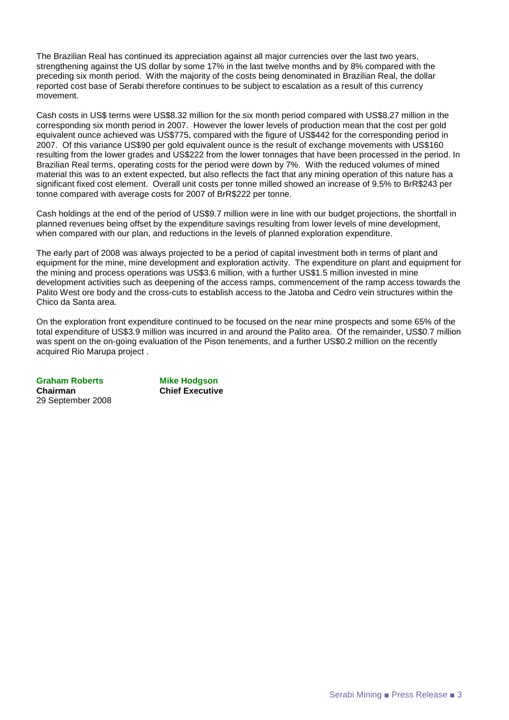The Brazilian Real has continued its appreciation against all major currencies over the last two years, strengthening against the US dollar by some 17% in the last twelve months and by 8% compared with the preceding six month period. With the majority of the costs being denominated in Brazilian Real, the dollar reported cost base of Serabi therefore continues to be subject to escalation as a result of this currency movement.

Cash costs in US\$ terms were US\$8.32 million for the six month period compared with US\$8.27 million in the corresponding six month period in 2007. However the lower levels of production mean that the cost per gold equivalent ounce achieved was US\$775, compared with the figure of US\$442 for the corresponding period in 2007. Of this variance US\$90 per gold equivalent ounce is the result of exchange movements with US\$160 resulting from the lower grades and US\$222 from the lower tonnages that have been processed in the period. In Brazilian Real terms, operating costs for the period were down by 7%. With the reduced volumes of mined material this was to an extent expected, but also reflects the fact that any mining operation of this nature has a significant fixed cost element. Overall unit costs per tonne milled showed an increase of 9.5% to BrR\$243 per tonne compared with average costs for 2007 of BrR\$222 per tonne.

Cash holdings at the end of the period of US\$9.7 million were in line with our budget projections, the shortfall in planned revenues being offset by the expenditure savings resulting from lower levels of mine development, when compared with our plan, and reductions in the levels of planned exploration expenditure.

The early part of 2008 was always projected to be a period of capital investment both in terms of plant and equipment for the mine, mine development and exploration activity. The expenditure on plant and equipment for the mining and process operations was US\$3.6 million, with a further US\$1.5 million invested in mine development activities such as deepening of the access ramps, commencement of the ramp access towards the Palito West ore body and the cross-cuts to establish access to the Jatoba and Cedro vein structures within the Chico da Santa area.

On the exploration front expenditure continued to be focused on the near mine prospects and some 65% of the total expenditure of US\$3.9 million was incurred in and around the Palito area. Of the remainder, US\$0.7 million was spent on the on-going evaluation of the Pison tenements, and a further US\$0.2 million on the recently acquired Rio Marupa project .

**Graham Roberts Mike Hodgson Chairman Chief Executive**  29 September 2008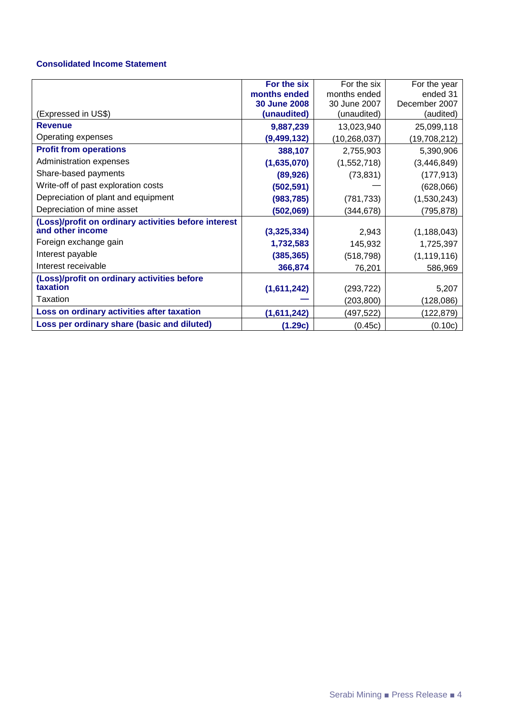### **Consolidated Income Statement**

|                                                      | For the six                        | For the six                 | For the year               |
|------------------------------------------------------|------------------------------------|-----------------------------|----------------------------|
|                                                      | months ended                       | months ended                | ended 31                   |
| (Expressed in US\$)                                  | <b>30 June 2008</b><br>(unaudited) | 30 June 2007<br>(unaudited) | December 2007<br>(audited) |
| <b>Revenue</b>                                       | 9,887,239                          | 13,023,940                  | 25,099,118                 |
| Operating expenses                                   | (9, 499, 132)                      | (10, 268, 037)              | (19,708,212)               |
| <b>Profit from operations</b>                        | 388,107                            | 2,755,903                   | 5,390,906                  |
| Administration expenses                              | (1,635,070)                        | (1,552,718)                 | (3,446,849)                |
| Share-based payments                                 | (89, 926)                          | (73, 831)                   | (177, 913)                 |
| Write-off of past exploration costs                  | (502, 591)                         |                             | (628,066)                  |
| Depreciation of plant and equipment                  | (983, 785)                         | (781, 733)                  | (1,530,243)                |
| Depreciation of mine asset                           | (502,069)                          | (344, 678)                  | (795, 878)                 |
| (Loss)/profit on ordinary activities before interest |                                    |                             |                            |
| and other income                                     | (3,325,334)                        | 2,943                       | (1, 188, 043)              |
| Foreign exchange gain                                | 1,732,583                          | 145,932                     | 1,725,397                  |
| Interest payable                                     | (385, 365)                         | (518, 798)                  | (1, 119, 116)              |
| Interest receivable                                  | 366,874                            | 76,201                      | 586,969                    |
| (Loss)/profit on ordinary activities before          |                                    |                             |                            |
| taxation                                             | (1,611,242)                        | (293, 722)                  | 5,207                      |
| Taxation                                             |                                    | (203, 800)                  | (128,086)                  |
| Loss on ordinary activities after taxation           | (1,611,242)                        | (497,522)                   | (122, 879)                 |
| Loss per ordinary share (basic and diluted)          | (1.29c)                            | (0.45c)                     | (0.10c)                    |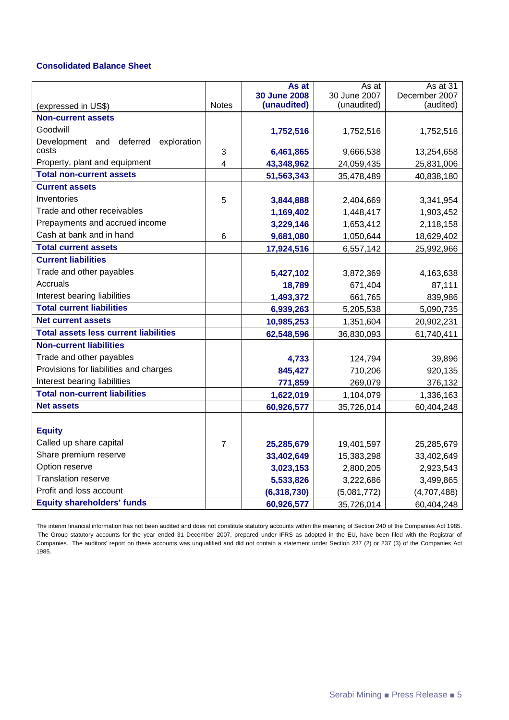### **Consolidated Balance Sheet**

|                                                     |                | As at<br><b>30 June 2008</b> | As at<br>30 June 2007 | As at 31<br>December 2007 |
|-----------------------------------------------------|----------------|------------------------------|-----------------------|---------------------------|
| (expressed in US\$)                                 | <b>Notes</b>   | (unaudited)                  | (unaudited)           | (audited)                 |
| <b>Non-current assets</b>                           |                |                              |                       |                           |
| Goodwill                                            |                | 1,752,516                    | 1,752,516             | 1,752,516                 |
| exploration<br>Development and<br>deferred<br>costs | 3              | 6,461,865                    | 9,666,538             | 13,254,658                |
| Property, plant and equipment                       | 4              | 43,348,962                   | 24,059,435            | 25,831,006                |
| <b>Total non-current assets</b>                     |                | 51,563,343                   | 35,478,489            | 40,838,180                |
| <b>Current assets</b>                               |                |                              |                       |                           |
| Inventories                                         | 5              | 3,844,888                    | 2,404,669             | 3,341,954                 |
| Trade and other receivables                         |                | 1,169,402                    | 1,448,417             | 1,903,452                 |
| Prepayments and accrued income                      |                | 3,229,146                    | 1,653,412             | 2,118,158                 |
| Cash at bank and in hand                            | 6              | 9,681,080                    | 1,050,644             | 18,629,402                |
| <b>Total current assets</b>                         |                | 17,924,516                   | 6,557,142             | 25,992,966                |
| <b>Current liabilities</b>                          |                |                              |                       |                           |
| Trade and other payables                            |                | 5,427,102                    | 3,872,369             | 4,163,638                 |
| Accruals                                            |                | 18,789                       | 671,404               | 87,111                    |
| Interest bearing liabilities                        |                | 1,493,372                    | 661,765               | 839,986                   |
| <b>Total current liabilities</b>                    |                | 6,939,263                    | 5,205,538             | 5,090,735                 |
| <b>Net current assets</b>                           |                | 10,985,253                   | 1,351,604             | 20,902,231                |
| <b>Total assets less current liabilities</b>        |                | 62,548,596                   | 36,830,093            | 61,740,411                |
| <b>Non-current liabilities</b>                      |                |                              |                       |                           |
| Trade and other payables                            |                | 4,733                        | 124,794               | 39,896                    |
| Provisions for liabilities and charges              |                | 845,427                      | 710,206               | 920,135                   |
| Interest bearing liabilities                        |                | 771,859                      | 269,079               | 376,132                   |
| <b>Total non-current liabilities</b>                |                | 1,622,019                    | 1,104,079             | 1,336,163                 |
| <b>Net assets</b>                                   |                | 60,926,577                   | 35,726,014            | 60,404,248                |
|                                                     |                |                              |                       |                           |
| <b>Equity</b>                                       |                |                              |                       |                           |
| Called up share capital                             | $\overline{7}$ | 25,285,679                   | 19,401,597            | 25,285,679                |
| Share premium reserve                               |                | 33,402,649                   | 15,383,298            | 33,402,649                |
| Option reserve                                      |                | 3,023,153                    | 2,800,205             | 2,923,543                 |
| <b>Translation reserve</b>                          |                | 5,533,826                    | 3,222,686             | 3,499,865                 |
| Profit and loss account                             |                | (6, 318, 730)                | (5,081,772)           | (4,707,488)               |
| <b>Equity shareholders' funds</b>                   |                | 60,926,577                   | 35,726,014            | 60,404,248                |

The interim financial information has not been audited and does not constitute statutory accounts within the meaning of Section 240 of the Companies Act 1985. The Group statutory accounts for the year ended 31 December 2007, prepared under IFRS as adopted in the EU, have been filed with the Registrar of Companies. The auditors' report on these accounts was unqualified and did not contain a statement under Section 237 (2) or 237 (3) of the Companies Act 1985.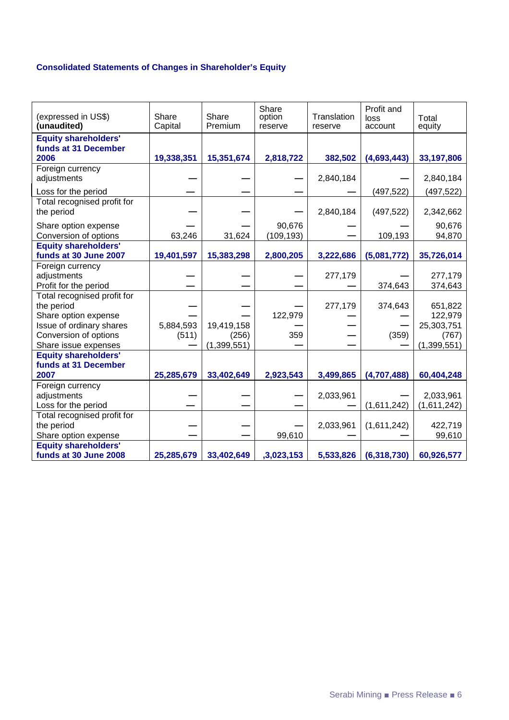# **Consolidated Statements of Changes in Shareholder's Equity**

| (expressed in US\$)<br>(unaudited) | Share<br>Capital | Share<br>Premium | Share<br>option<br>reserve | Translation<br>reserve | Profit and<br>loss<br>account | Total<br>equity |
|------------------------------------|------------------|------------------|----------------------------|------------------------|-------------------------------|-----------------|
| <b>Equity shareholders'</b>        |                  |                  |                            |                        |                               |                 |
| funds at 31 December               |                  |                  |                            |                        |                               |                 |
| 2006                               | 19,338,351       | 15,351,674       | 2,818,722                  | 382,502                | (4,693,443)                   | 33,197,806      |
| Foreign currency                   |                  |                  |                            |                        |                               |                 |
| adjustments                        |                  |                  |                            | 2,840,184              |                               | 2,840,184       |
| Loss for the period                |                  |                  |                            |                        | (497, 522)                    | (497, 522)      |
| Total recognised profit for        |                  |                  |                            |                        |                               |                 |
| the period                         |                  |                  |                            | 2,840,184              | (497, 522)                    | 2,342,662       |
| Share option expense               |                  |                  | 90,676                     |                        |                               | 90,676          |
| Conversion of options              | 63,246           | 31,624           | (109, 193)                 |                        | 109,193                       | 94,870          |
| <b>Equity shareholders'</b>        |                  |                  |                            |                        |                               |                 |
| funds at 30 June 2007              | 19,401,597       | 15,383,298       | 2,800,205                  | 3,222,686              | (5,081,772)                   | 35,726,014      |
| Foreign currency                   |                  |                  |                            |                        |                               |                 |
| adjustments                        |                  |                  |                            | 277,179                |                               | 277,179         |
| Profit for the period              |                  |                  |                            |                        | 374,643                       | 374,643         |
| Total recognised profit for        |                  |                  |                            |                        |                               |                 |
| the period                         |                  |                  |                            | 277,179                | 374,643                       | 651,822         |
| Share option expense               |                  |                  | 122,979                    |                        |                               | 122,979         |
| Issue of ordinary shares           | 5,884,593        | 19,419,158       |                            |                        |                               | 25,303,751      |
| Conversion of options              | (511)            | (256)            | 359                        |                        | (359)                         | (767)           |
| Share issue expenses               |                  | (1, 399, 551)    |                            |                        |                               | (1, 399, 551)   |
| <b>Equity shareholders'</b>        |                  |                  |                            |                        |                               |                 |
| funds at 31 December               |                  |                  |                            |                        |                               |                 |
| 2007                               | 25,285,679       | 33,402,649       | 2,923,543                  | 3,499,865              | (4,707,488)                   | 60,404,248      |
| Foreign currency                   |                  |                  |                            |                        |                               |                 |
| adjustments                        |                  |                  |                            | 2,033,961              |                               | 2,033,961       |
| Loss for the period                |                  |                  |                            |                        | (1,611,242)                   | (1,611,242)     |
| Total recognised profit for        |                  |                  |                            |                        |                               |                 |
| the period                         |                  |                  |                            | 2,033,961              | (1,611,242)                   | 422,719         |
| Share option expense               |                  |                  | 99,610                     |                        |                               | 99,610          |
| <b>Equity shareholders'</b>        |                  |                  |                            |                        |                               |                 |
| funds at 30 June 2008              | 25,285,679       | 33,402,649       | ,3,023,153                 | 5,533,826              | (6,318,730)                   | 60,926,577      |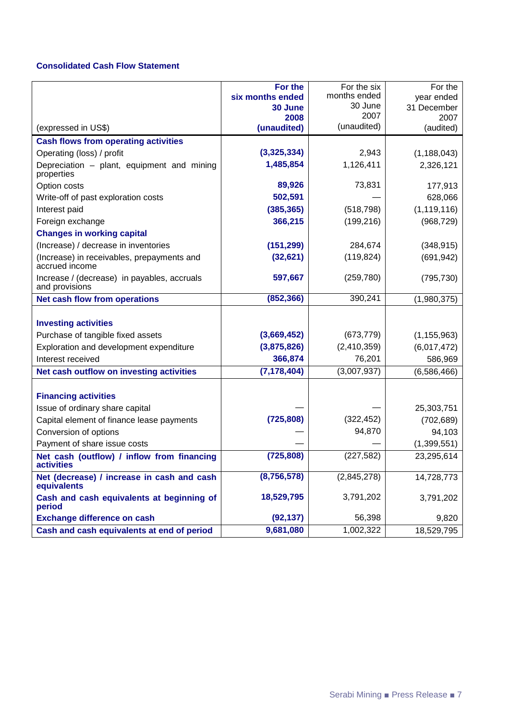### **Consolidated Cash Flow Statement**

|                                                               | For the          | For the six     | For the       |
|---------------------------------------------------------------|------------------|-----------------|---------------|
|                                                               | six months ended | months ended    | year ended    |
|                                                               | 30 June          | 30 June<br>2007 | 31 December   |
|                                                               | 2008             | (unaudited)     | 2007          |
| (expressed in US\$)                                           | (unaudited)      |                 | (audited)     |
| <b>Cash flows from operating activities</b>                   |                  |                 |               |
| Operating (loss) / profit                                     | (3,325,334)      | 2,943           | (1, 188, 043) |
| Depreciation - plant, equipment and mining<br>properties      | 1,485,854        | 1,126,411       | 2,326,121     |
| Option costs                                                  | 89,926           | 73,831          | 177,913       |
| Write-off of past exploration costs                           | 502,591          |                 | 628,066       |
| Interest paid                                                 | (385, 365)       | (518, 798)      | (1, 119, 116) |
| Foreign exchange                                              | 366,215          | (199, 216)      | (968, 729)    |
| <b>Changes in working capital</b>                             |                  |                 |               |
| (Increase) / decrease in inventories                          | (151, 299)       | 284,674         | (348, 915)    |
| (Increase) in receivables, prepayments and<br>accrued income  | (32, 621)        | (119, 824)      | (691, 942)    |
| Increase / (decrease) in payables, accruals<br>and provisions | 597,667          | (259, 780)      | (795, 730)    |
| Net cash flow from operations                                 | (852, 366)       | 390,241         | (1,980,375)   |
|                                                               |                  |                 |               |
| <b>Investing activities</b>                                   |                  |                 |               |
| Purchase of tangible fixed assets                             | (3,669,452)      | (673, 779)      | (1, 155, 963) |
| Exploration and development expenditure                       | (3,875,826)      | (2,410,359)     | (6,017,472)   |
| Interest received                                             | 366,874          | 76,201          | 586,969       |
| Net cash outflow on investing activities                      | (7, 178, 404)    | (3,007,937)     | (6,586,466)   |
|                                                               |                  |                 |               |
| <b>Financing activities</b>                                   |                  |                 |               |
| Issue of ordinary share capital                               |                  |                 | 25,303,751    |
| Capital element of finance lease payments                     | (725, 808)       | (322, 452)      | (702, 689)    |
| Conversion of options                                         |                  | 94,870          | 94,103        |
| Payment of share issue costs                                  |                  |                 | (1,399,551)   |
| Net cash (outflow) / inflow from financing<br>activities      | (725, 808)       | (227, 582)      | 23,295,614    |
| Net (decrease) / increase in cash and cash<br>equivalents     | (8,756,578)      | (2,845,278)     | 14,728,773    |
| Cash and cash equivalents at beginning of<br>period           | 18,529,795       | 3,791,202       | 3,791,202     |
| <b>Exchange difference on cash</b>                            | (92, 137)        | 56,398          | 9,820         |
| Cash and cash equivalents at end of period                    | 9,681,080        | 1,002,322       | 18,529,795    |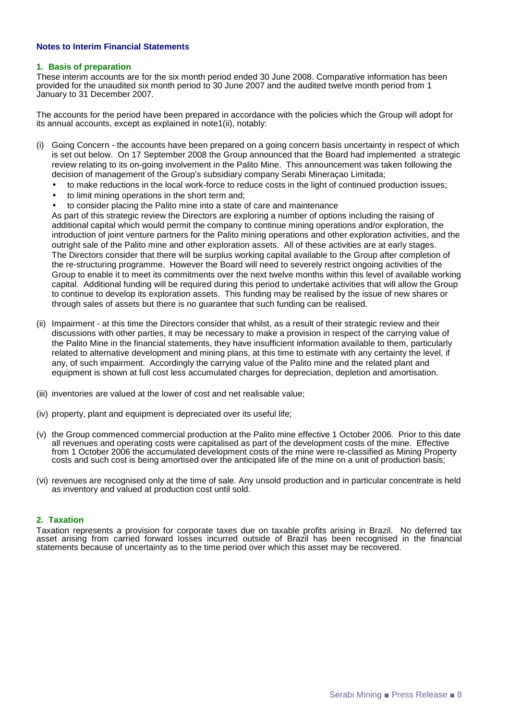#### **Notes to Interim Financial Statements**

#### **1. Basis of preparation**

These interim accounts are for the six month period ended 30 June 2008. Comparative information has been provided for the unaudited six month period to 30 June 2007 and the audited twelve month period from 1 January to 31 December 2007.

The accounts for the period have been prepared in accordance with the policies which the Group will adopt for its annual accounts, except as explained in note1(ii), notably:

- (i) Going Concern the accounts have been prepared on a going concern basis uncertainty in respect of which is set out below. On 17 September 2008 the Group announced that the Board had implemented a strategic review relating to its on-going involvement in the Palito Mine. This announcement was taken following the decision of management of the Group's subsidiary company Serabi Mineraçao Limitada;
	- to make reductions in the local work-force to reduce costs in the light of continued production issues;
	- to limit mining operations in the short term and;
	- to consider placing the Palito mine into a state of care and maintenance

As part of this strategic review the Directors are exploring a number of options including the raising of additional capital which would permit the company to continue mining operations and/or exploration, the introduction of joint venture partners for the Palito mining operations and other exploration activities, and the outright sale of the Palito mine and other exploration assets. All of these activities are at early stages. The Directors consider that there will be surplus working capital available to the Group after completion of the re-structuring programme. However the Board will need to severely restrict ongoing activities of the Group to enable it to meet its commitments over the next twelve months within this level of available working capital. Additional funding will be required during this period to undertake activities that will allow the Group to continue to develop its exploration assets. This funding may be realised by the issue of new shares or through sales of assets but there is no guarantee that such funding can be realised.

- (ii) Impairment at this time the Directors consider that whilst, as a result of their strategic review and their discussions with other parties, it may be necessary to make a provision in respect of the carrying value of the Palito Mine in the financial statements, they have insufficient information available to them, particularly related to alternative development and mining plans, at this time to estimate with any certainty the level, if any, of such impairment. Accordingly the carrying value of the Palito mine and the related plant and equipment is shown at full cost less accumulated charges for depreciation, depletion and amortisation.
- (iii) inventories are valued at the lower of cost and net realisable value;
- (iv) property, plant and equipment is depreciated over its useful life;
- (v) the Group commenced commercial production at the Palito mine effective 1 October 2006. Prior to this date all revenues and operating costs were capitalised as part of the development costs of the mine. Effective from 1 October 2006 the accumulated development costs of the mine were re-classified as Mining Property costs and such cost is being amortised over the anticipated life of the mine on a unit of production basis;
- (vi) revenues are recognised only at the time of sale. Any unsold production and in particular concentrate is held as inventory and valued at production cost until sold.

#### **2. Taxation**

Taxation represents a provision for corporate taxes due on taxable profits arising in Brazil. No deferred tax asset arising from carried forward losses incurred outside of Brazil has been recognised in the financial statements because of uncertainty as to the time period over which this asset may be recovered.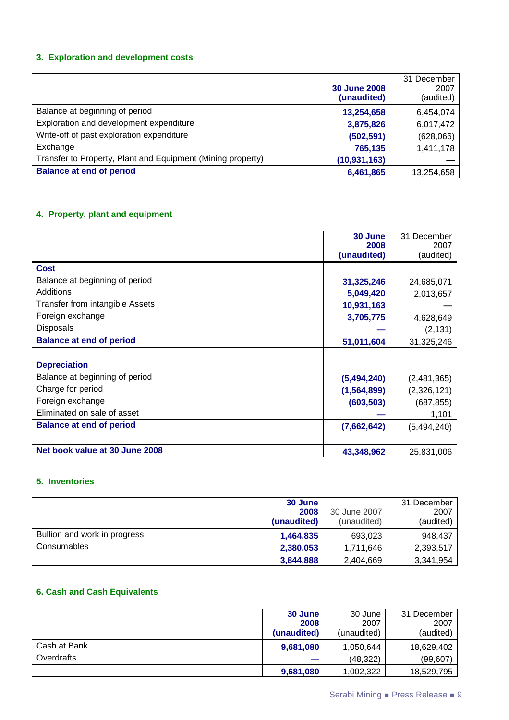### **3. Exploration and development costs**

|                                                             | <b>30 June 2008</b><br>(unaudited) | 31 December<br>2007<br>(audited) |
|-------------------------------------------------------------|------------------------------------|----------------------------------|
| Balance at beginning of period                              | 13,254,658                         | 6,454,074                        |
| Exploration and development expenditure                     | 3,875,826                          | 6,017,472                        |
| Write-off of past exploration expenditure                   | (502, 591)                         | (628,066)                        |
| Exchange                                                    | 765,135                            | 1,411,178                        |
| Transfer to Property, Plant and Equipment (Mining property) | (10, 931, 163)                     |                                  |
| <b>Balance at end of period</b>                             | 6,461,865                          | 13,254,658                       |

# **4. Property, plant and equipment**

|                                 | 30 June<br>2008 | 31 December<br>2007 |
|---------------------------------|-----------------|---------------------|
|                                 | (unaudited)     | (audited)           |
| Cost                            |                 |                     |
| Balance at beginning of period  | 31,325,246      | 24,685,071          |
| Additions                       | 5,049,420       | 2,013,657           |
| Transfer from intangible Assets | 10,931,163      |                     |
| Foreign exchange                | 3,705,775       | 4,628,649           |
| <b>Disposals</b>                |                 | (2, 131)            |
| <b>Balance at end of period</b> | 51,011,604      | 31,325,246          |
|                                 |                 |                     |
| <b>Depreciation</b>             |                 |                     |
| Balance at beginning of period  | (5,494,240)     | (2,481,365)         |
| Charge for period               | (1,564,899)     | (2,326,121)         |
| Foreign exchange                | (603, 503)      | (687, 855)          |
| Eliminated on sale of asset     |                 | 1,101               |
| <b>Balance at end of period</b> | (7,662,642)     | (5,494,240)         |
|                                 |                 |                     |
| Net book value at 30 June 2008  | 43,348,962      | 25,831,006          |

### **5. Inventories**

|                              | 30 June     |              | 31 December |
|------------------------------|-------------|--------------|-------------|
|                              | 2008        | 30 June 2007 | 2007        |
|                              | (unaudited) | (unaudited)  | (audited)   |
| Bullion and work in progress | 1,464,835   | 693,023      | 948,437     |
| Consumables                  | 2,380,053   | 1,711,646    | 2,393,517   |
|                              | 3,844,888   | 2,404,669    | 3,341,954   |

### **6. Cash and Cash Equivalents**

|              | 30 June                  | 30 June     | 31 December |
|--------------|--------------------------|-------------|-------------|
|              | 2008                     | 2007        | 2007        |
|              | (unaudited)              | (unaudited) | (audited)   |
| Cash at Bank | 9,681,080                | 1,050,644   | 18,629,402  |
| Overdrafts   | $\overline{\phantom{a}}$ | (48, 322)   | (99, 607)   |
|              | 9,681,080                | 1,002,322   | 18,529,795  |